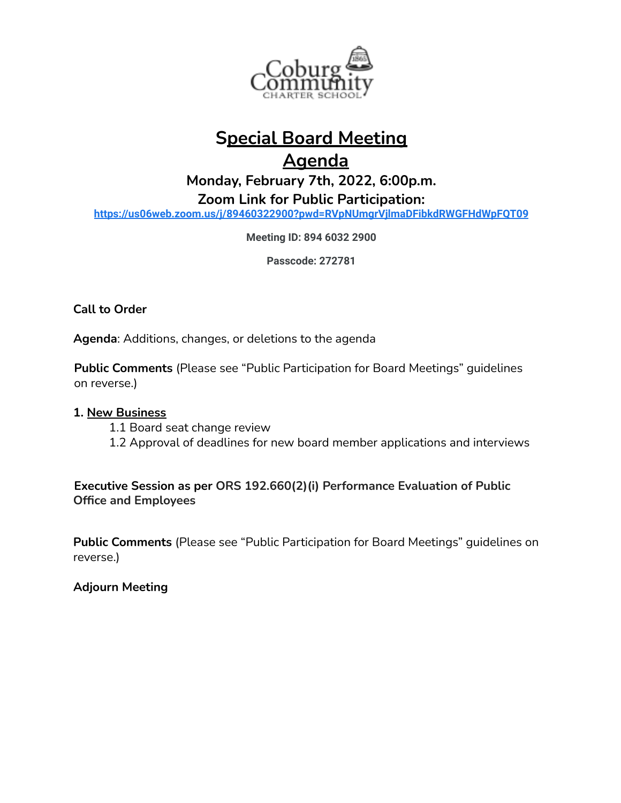

## **Special Board Meeting**

## **Agenda**

**Monday, February 7th, 2022, 6:00p.m.**

**Zoom Link for Public Participation:**

**<https://us06web.zoom.us/j/89460322900?pwd=RVpNUmgrVjlmaDFibkdRWGFHdWpFQT09>**

**Meeting ID: 894 6032 2900**

**Passcode: 272781**

**Call to Order**

**Agenda**: Additions, changes, or deletions to the agenda

**Public Comments** (Please see "Public Participation for Board Meetings" guidelines on reverse.)

## **1. New Business**

- 1.1 Board seat change review
- 1.2 Approval of deadlines for new board member applications and interviews

**Executive Session as per ORS 192.660(2)(i) Performance Evaluation of Public Office and Employees**

**Public Comments** (Please see "Public Participation for Board Meetings" guidelines on reverse.)

**Adjourn Meeting**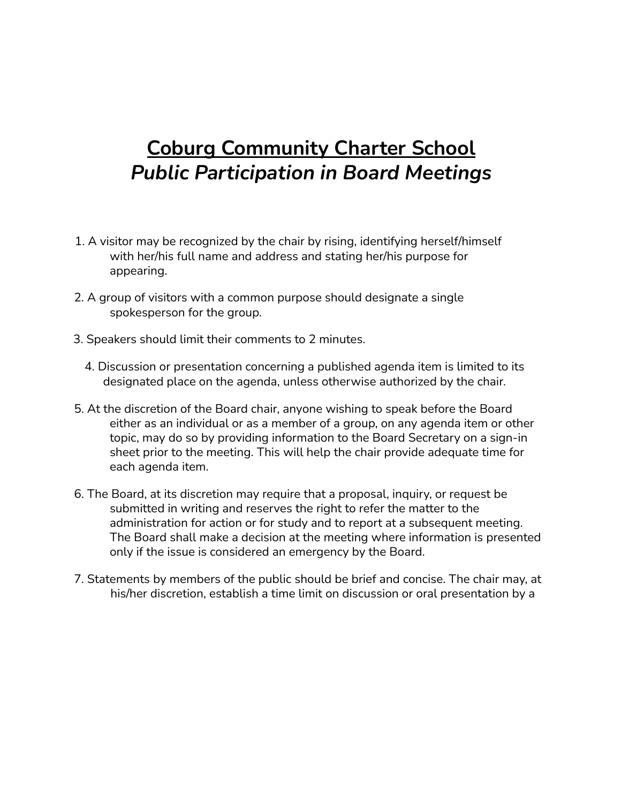## **Coburg Community Charter School** *Public Participation in Board Meetings*

- 1. A visitor may be recognized by the chair by rising, identifying herself/himself with her/his full name and address and stating her/his purpose for appearing.
- 2. A group of visitors with a common purpose should designate a single spokesperson for the group.
- 3. Speakers should limit their comments to 2 minutes.
	- 4. Discussion or presentation concerning a published agenda item is limited to its designated place on the agenda, unless otherwise authorized by the chair.
- 5. At the discretion of the Board chair, anyone wishing to speak before the Board either as an individual or as a member of a group, on any agenda item or other topic, may do so by providing information to the Board Secretary on a sign-in sheet prior to the meeting. This will help the chair provide adequate time for each agenda item.
- 6. The Board, at its discretion may require that a proposal, inquiry, or request be submitted in writing and reserves the right to refer the matter to the administration for action or for study and to report at a subsequent meeting. The Board shall make a decision at the meeting where information is presented only if the issue is considered an emergency by the Board.
- 7. Statements by members of the public should be brief and concise. The chair may, at his/her discretion, establish a time limit on discussion or oral presentation by a